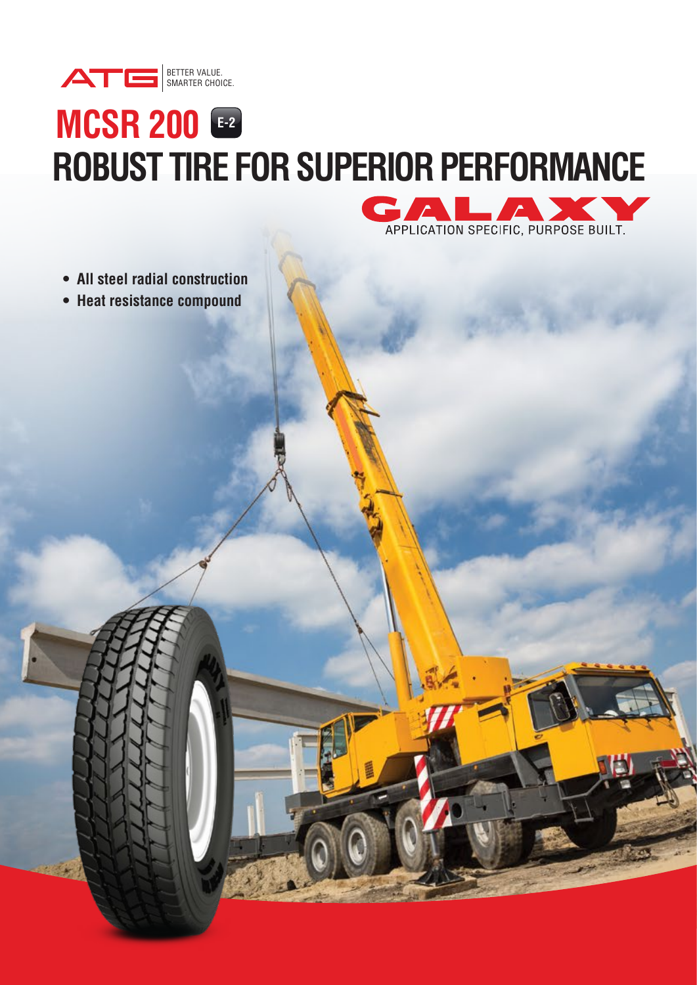

## **MCSR 200 E-2 ROBUST TIRE FOR SUPERIOR PERFORMANCE**



- **All steel radial construction**
- **Heat resistance compound**